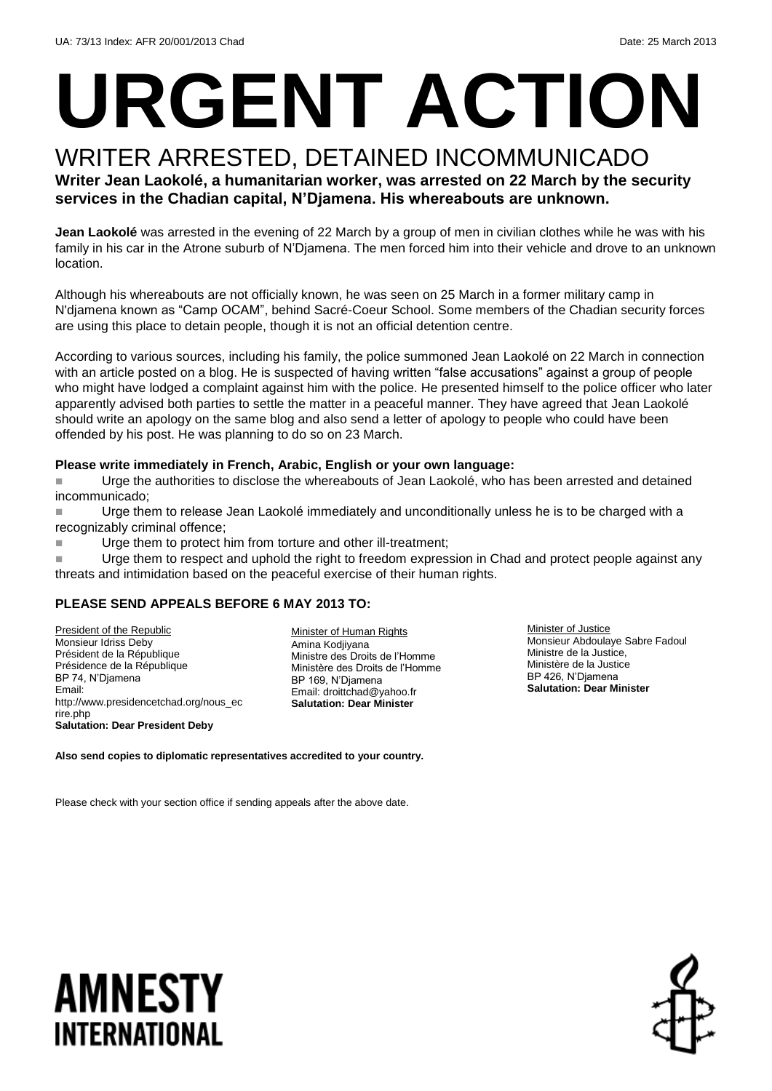# **URGENT ACTION**

#### WRITER ARRESTED, DETAINED INCOMMUNICADO **Writer Jean Laokolé, a humanitarian worker, was arrested on 22 March by the security services in the Chadian capital, N'Djamena. His whereabouts are unknown.**

**Jean Laokolé** was arrested in the evening of 22 March by a group of men in civilian clothes while he was with his family in his car in the Atrone suburb of N'Djamena. The men forced him into their vehicle and drove to an unknown location.

Although his whereabouts are not officially known, he was seen on 25 March in a former military camp in N'djamena known as "Camp OCAM", behind Sacré-Coeur School. Some members of the Chadian security forces are using this place to detain people, though it is not an official detention centre.

According to various sources, including his family, the police summoned Jean Laokolé on 22 March in connection with an article posted on a blog. He is suspected of having written "false accusations" against a group of people who might have lodged a complaint against him with the police. He presented himself to the police officer who later apparently advised both parties to settle the matter in a peaceful manner. They have agreed that Jean Laokolé should write an apology on the same blog and also send a letter of apology to people who could have been offended by his post. He was planning to do so on 23 March.

#### **Please write immediately in French, Arabic, English or your own language:**

 Urge the authorities to disclose the whereabouts of Jean Laokolé, who has been arrested and detained incommunicado;

 Urge them to release Jean Laokolé immediately and unconditionally unless he is to be charged with a recognizably criminal offence;

■ Urge them to protect him from torture and other ill-treatment;

**Urge them to respect and uphold the right to freedom expression in Chad and protect people against any** threats and intimidation based on the peaceful exercise of their human rights.

#### **PLEASE SEND APPEALS BEFORE 6 MAY 2013 TO:**

President of the Republic Monsieur Idriss Deby Président de la République Présidence de la République BP 74, N'Djamena Email: http://www.presidencetchad.org/nous\_ec rire.php **Salutation: Dear President Deby** 

Minister of Human Rights Amina Kodjiyana Ministre des Droits de l'Homme Ministère des Droits de l'Homme BP 169, N'Djamena Email: [droittchad@yahoo.fr](mailto:droittchad@yahoo.fr) **Salutation: Dear Minister**

Minister of Justice Monsieur Abdoulaye Sabre Fadoul Ministre de la Justice, Ministère de la Justice BP 426, N'Djamena **Salutation: Dear Minister**

**Also send copies to diplomatic representatives accredited to your country.** 

Please check with your section office if sending appeals after the above date.